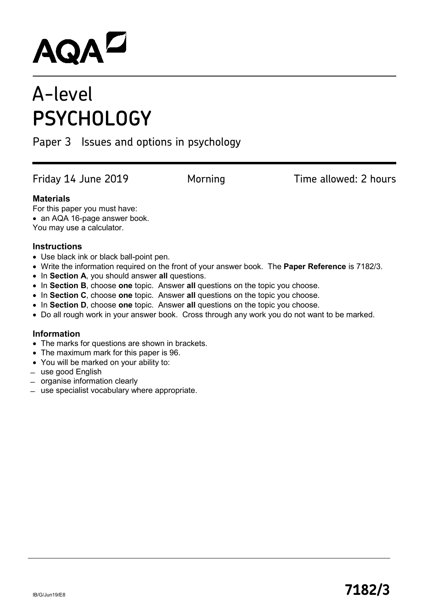# **AQAL**

# A-level **PSYCHOLOGY**

# Paper 3 Issues and options in psychology

Friday 14 June 2019 **Morning Filme allowed: 2 hours** 

# **Materials**

For this paper you must have:

• an AQA 16-page answer book.

You may use a calculator.

# **Instructions**

- Use black ink or black ball-point pen.
- Write the information required on the front of your answer book. The **Paper Reference** is 7182/3.
- In **Section A**, you should answer **all** questions.
- In **Section B**, choose **one** topic. Answer **all** questions on the topic you choose.
- In **Section C**, choose **one** topic. Answer **all** questions on the topic you choose.
- In **Section D**, choose **one** topic. Answer **all** questions on the topic you choose.
- Do all rough work in your answer book. Cross through any work you do not want to be marked.

# **Information**

- The marks for questions are shown in brackets.
- The maximum mark for this paper is 96.
- You will be marked on your ability to:
- ̶ use good English
- ̶ organise information clearly
- ̶ use specialist vocabulary where appropriate.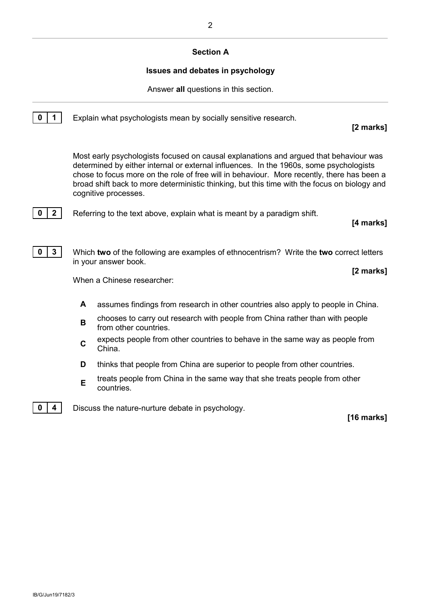## **Section A**

### **Issues and debates in psychology**

Answer **all** questions in this section.

**0 1** Explain what psychologists mean by socially sensitive research.

**[2 marks]**

Most early psychologists focused on causal explanations and argued that behaviour was determined by either internal or external influences. In the 1960s, some psychologists chose to focus more on the role of free will in behaviour. More recently, there has been a broad shift back to more deterministic thinking, but this time with the focus on biology and cognitive processes.



**0 2** Referring to the text above, explain what is meant by a paradigm shift.

**[4 marks]**



**0 3** Which **two** of the following are examples of ethnocentrism? Write the **two** correct letters in your answer book.

**[2 marks]**

When a Chinese researcher:

- **A** assumes findings from research in other countries also apply to people in China.
- **<sup>B</sup>** chooses to carry out research with people from China rather than with people from other countries.
- **C** expects people from other countries to behave in the same way as people from China.
- **D** thinks that people from China are superior to people from other countries.
- **E** treats people from China in the same way that she treats people from other countries.



**0**  $\vert$  **4**  $\vert$  Discuss the nature-nurture debate in psychology.

**[16 marks]**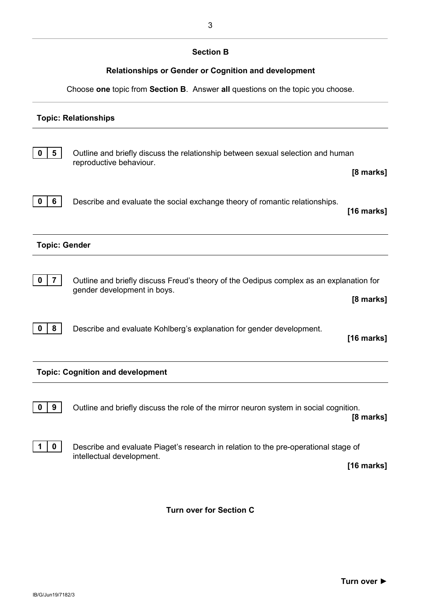# **Section B**

# **Relationships or Gender or Cognition and development**

Choose **one** topic from **Section B**. Answer **all** questions on the topic you choose.

# **Topic: Relationships 0 5** Outline and briefly discuss the relationship between sexual selection and human reproductive behaviour. **[8 marks] 0 6** Describe and evaluate the social exchange theory of romantic relationships. **[16 marks] Topic: Gender 0** | **7** | Outline and briefly discuss Freud's theory of the Oedipus complex as an explanation for gender development in boys. **[8 marks] 0** | **8** | Describe and evaluate Kohlberg's explanation for gender development. **[16 marks] Topic: Cognition and development 0** | **9** | Outline and briefly discuss the role of the mirror neuron system in social cognition. **[8 marks] 1 0** Describe and evaluate Piaget's research in relation to the pre-operational stage of intellectual development. **[16 marks]**

**Turn over for Section C**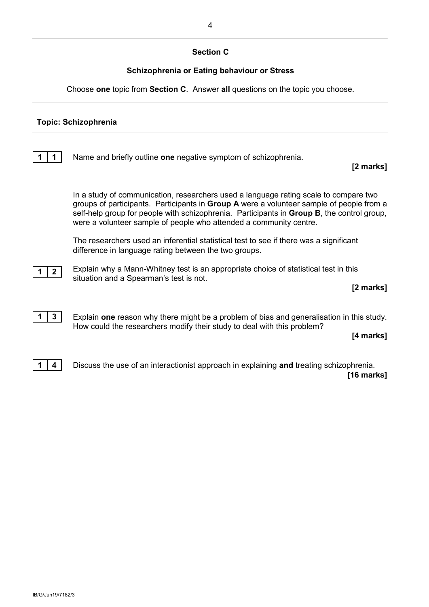# **Section C**

# **Schizophrenia or Eating behaviour or Stress**

Choose **one** topic from **Section C**. Answer **all** questions on the topic you choose.

### **Topic: Schizophrenia**

**1 1** Name and briefly outline **one** negative symptom of schizophrenia.

#### **[2 marks]**

In a study of communication, researchers used a language rating scale to compare two groups of participants. Participants in **Group A** were a volunteer sample of people from a self-help group for people with schizophrenia. Participants in **Group B**, the control group, were a volunteer sample of people who attended a community centre.

The researchers used an inferential statistical test to see if there was a significant difference in language rating between the two groups.

**1 2**

Explain why a Mann-Whitney test is an appropriate choice of statistical test in this situation and a Spearman's test is not.

**[2 marks]**

**1 3** Explain **one** reason why there might be a problem of bias and generalisation in this study. How could the researchers modify their study to deal with this problem?

**[4 marks]**



**1 4** Discuss the use of an interactionist approach in explaining **and** treating schizophrenia. **[16 marks]**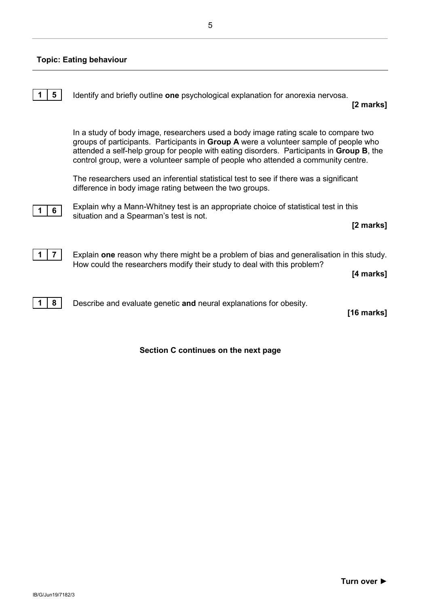#### **Topic: Eating behaviour**



**1 8** Describe and evaluate genetic **and** neural explanations for obesity.

**[16 marks]**

## **Section C continues on the next page**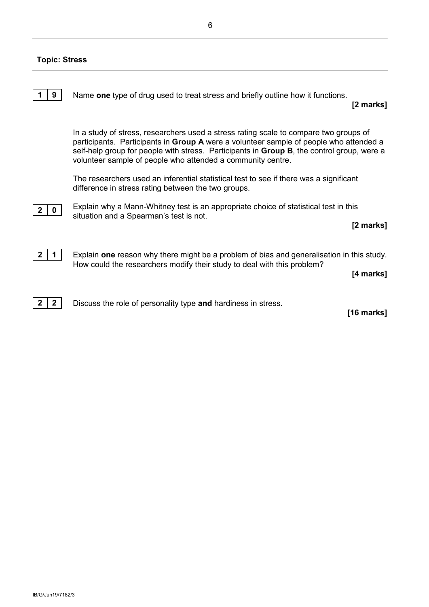# **Topic: Stress**

|   | Name one type of drug used to treat stress and briefly outline how it functions.<br>[2 marks]                                                                                                                                                                                                                                                        |
|---|------------------------------------------------------------------------------------------------------------------------------------------------------------------------------------------------------------------------------------------------------------------------------------------------------------------------------------------------------|
|   | In a study of stress, researchers used a stress rating scale to compare two groups of<br>participants. Participants in Group A were a volunteer sample of people who attended a<br>self-help group for people with stress. Participants in <b>Group B</b> , the control group, were a<br>volunteer sample of people who attended a community centre. |
|   | The researchers used an inferential statistical test to see if there was a significant<br>difference in stress rating between the two groups.                                                                                                                                                                                                        |
| 0 | Explain why a Mann-Whitney test is an appropriate choice of statistical test in this<br>situation and a Spearman's test is not.<br>[2 marks]                                                                                                                                                                                                         |
|   | Explain one reason why there might be a problem of bias and generalisation in this study.<br>How could the researchers modify their study to deal with this problem?<br>[4 marks]                                                                                                                                                                    |



**2 2** Discuss the role of personality type and hardiness in stress.

**[16 marks]**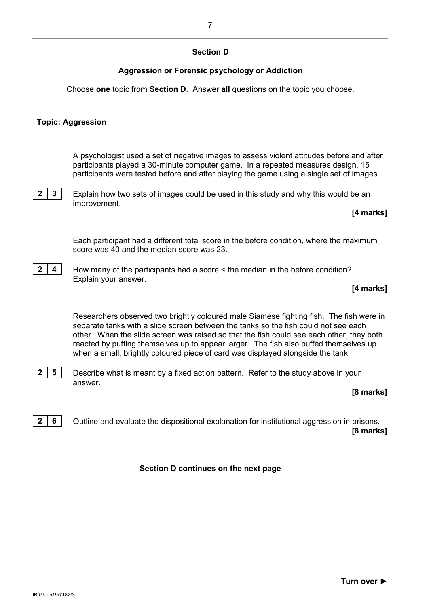# **Section D**

# **Aggression or Forensic psychology or Addiction**

Choose **one** topic from **Section D**. Answer **all** questions on the topic you choose.

# **Topic: Aggression**

A psychologist used a set of negative images to assess violent attitudes before and after participants played a 30-minute computer game. In a repeated measures design, 15 participants were tested before and after playing the game using a single set of images.

**2 3** Explain how two sets of images could be used in this study and why this would be an improvement.

#### **[4 marks]**

Each participant had a different total score in the before condition, where the maximum score was 40 and the median score was 23.



**2 4 How many of the participants had a score < the median in the before condition?** Explain your answer.

#### **[4 marks]**

Researchers observed two brightly coloured male Siamese fighting fish. The fish were in separate tanks with a slide screen between the tanks so the fish could not see each other. When the slide screen was raised so that the fish could see each other, they both reacted by puffing themselves up to appear larger. The fish also puffed themselves up when a small, brightly coloured piece of card was displayed alongside the tank.



**2 5** Describe what is meant by a fixed action pattern. Refer to the study above in your answer.

#### **[8 marks]**

**2 6** Outline and evaluate the dispositional explanation for institutional aggression in prisons. **[8 marks]**

**Section D continues on the next page**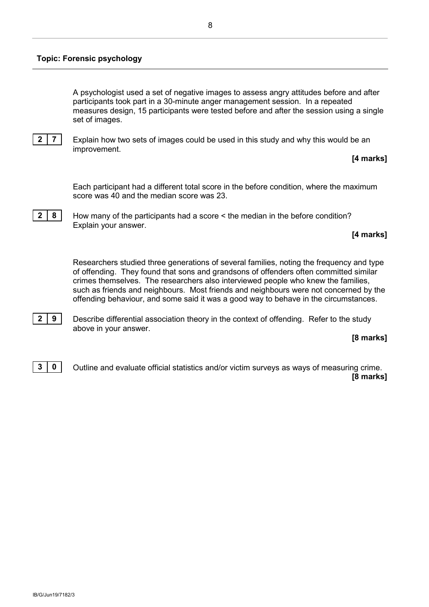#### **Topic: Forensic psychology**

A psychologist used a set of negative images to assess angry attitudes before and after participants took part in a 30-minute anger management session. In a repeated measures design, 15 participants were tested before and after the session using a single set of images.



**2 7** Explain how two sets of images could be used in this study and why this would be an improvement.

**[4 marks]**

Each participant had a different total score in the before condition, where the maximum score was 40 and the median score was 23.



**2 8** How many of the participants had a score < the median in the before condition? Explain your answer.

#### **[4 marks]**

Researchers studied three generations of several families, noting the frequency and type of offending. They found that sons and grandsons of offenders often committed similar crimes themselves. The researchers also interviewed people who knew the families, such as friends and neighbours. Most friends and neighbours were not concerned by the offending behaviour, and some said it was a good way to behave in the circumstances.



**2 9** Describe differential association theory in the context of offending. Refer to the study above in your answer.

#### **[8 marks]**



**3 0** Outline and evaluate official statistics and/or victim surveys as ways of measuring crime. **[8 marks]**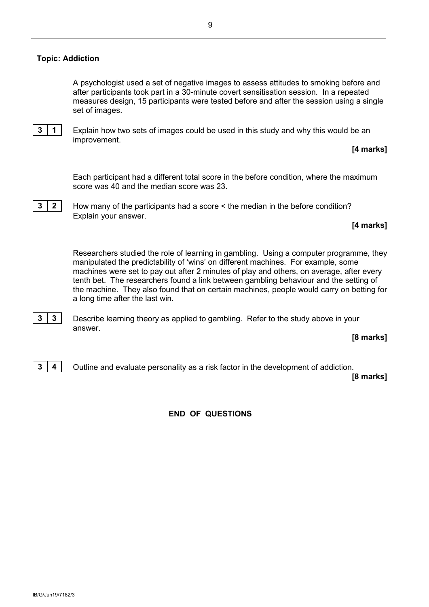#### **Topic: Addiction**

A psychologist used a set of negative images to assess attitudes to smoking before and after participants took part in a 30-minute covert sensitisation session. In a repeated measures design, 15 participants were tested before and after the session using a single set of images.



**3 1** Explain how two sets of images could be used in this study and why this would be an improvement.

#### **[4 marks]**

Each participant had a different total score in the before condition, where the maximum score was 40 and the median score was 23.

**3 2** How many of the participants had a score < the median in the before condition? Explain your answer.

#### **[4 marks]**

Researchers studied the role of learning in gambling. Using a computer programme, they manipulated the predictability of 'wins' on different machines. For example, some machines were set to pay out after 2 minutes of play and others, on average, after every tenth bet. The researchers found a link between gambling behaviour and the setting of the machine. They also found that on certain machines, people would carry on betting for a long time after the last win.

**3 3** Describe learning theory as applied to gambling. Refer to the study above in your answer.

#### **[8 marks]**

**3 4** Outline and evaluate personality as a risk factor in the development of addiction.

**[8 marks]**

## **END OF QUESTIONS**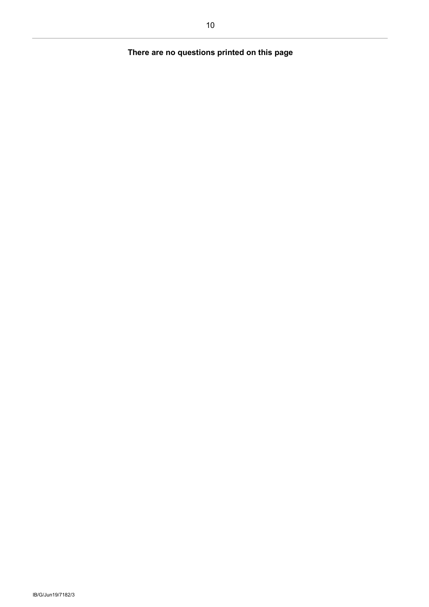# **There are no questions printed on this page**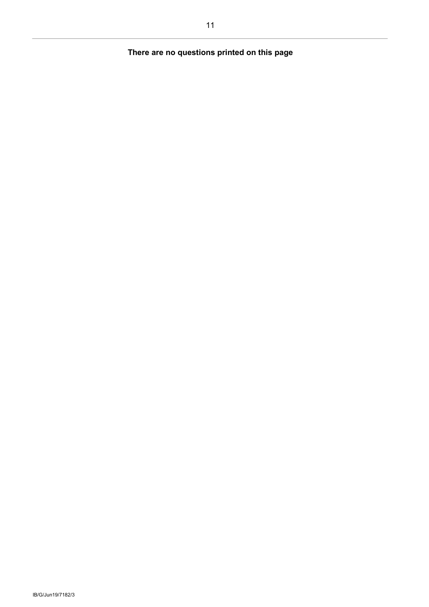# **There are no questions printed on this page**